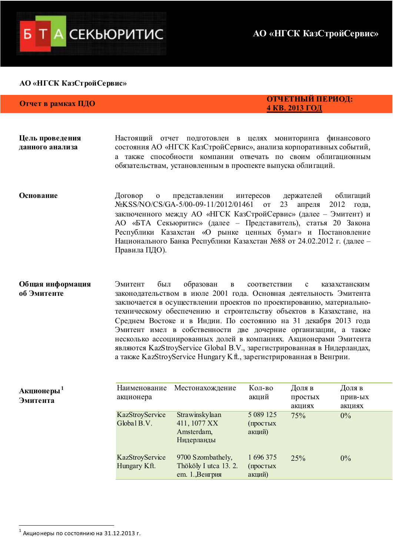

# **АО «НГСК КазСтройСервис»**

**Отчет в рамках ПДО**<br> **● Отчет в рамках ПДО 4 KB. 2013 ГОД** 

| Цель проведения<br>данного анализа | Настоящий отчет подготовлен в целях мониторинга финансового<br>состояния АО «НГСК КазСтройСервис», анализа корпоративных событий,<br>а также способности компании отвечать по своим облигационным<br>обязательствам, установленным в проспекте выпуска облигаций.                                                                                                                                                                      |
|------------------------------------|----------------------------------------------------------------------------------------------------------------------------------------------------------------------------------------------------------------------------------------------------------------------------------------------------------------------------------------------------------------------------------------------------------------------------------------|
| Основание                          | представлении интересов держателей облигаций<br>Договор<br>$\mathbf{O}$<br>No KSS/NO/CS/GA-5/00-09-11/2012/01461 от 23 апреля 2012 года,<br>заключенного между AO «НГСК КазСтройСервис» (далее - Эмитент) и<br>АО «БТА Секьюритис» (далее – Представитель), статья 20 Закона<br>Республики Казахстан «О рынке ценных бумаг» и Постановление<br>Национального Банка Республики Казахстан №88 от 24.02.2012 г. (далее -<br>Правила ПДО). |

Общая информация **об** Эмитенте Эмитент был образован в соответствии с казахстанским законодательством в июле 2001 года. Основная деятельность Эмитента заключается в осуществлении проектов по проектированию, материальнотехническому обеспечению и строительству объектов в Казахстане, на Среднем Востоке и в Индии. По состоянию на 31 декабря 2013 года Эмитент имел в собственности две дочерние организации, а также несколько ассоциированных долей в компаниях. Акционерами Эмитента являются KazStroyService Global B.V., зарегистрированная в Нидерландах, a также KazStroyService Hungary Kft., зарегистрированная в Венгрии.

| Наименование<br>акционера       | Местонахождение                                               | Кол-во<br>акций                   | Доля в<br>простых<br>акциях | Доля в<br>прив-ых<br>акциях |
|---------------------------------|---------------------------------------------------------------|-----------------------------------|-----------------------------|-----------------------------|
| KazStroyService<br>Global B.V.  | Strawinskylaan<br>411, 1077 XX<br>Amsterdam,<br>Нидерланды    | 5 0 89 1 25<br>(простых<br>акций) | 75%                         | $0\%$                       |
| KazStroyService<br>Hungary Kft. | 9700 Szombathely,<br>Thököly I utca 13. 2.<br>em. 1., Венгрия | 1 696 375<br>(простых<br>акций)   | 25%                         | $0\%$                       |

**Акционеры**<sup>1</sup> **Эмитента** 

 $\overline{a}$ 

Акционеры по состоянию на 31.12.2013 г.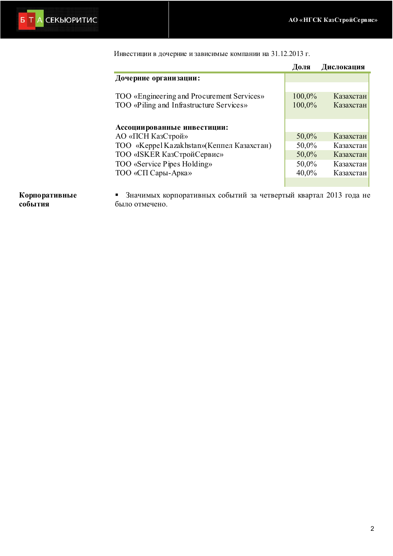

Инвестиции в дочерние и зависимые компании на 31.12.2013 г.

|                                            | Доля      | Дислокация |
|--------------------------------------------|-----------|------------|
| Дочерние организации:                      |           |            |
|                                            |           |            |
| TOO «Engineering and Procurement Services» | $100,0\%$ | Казахстан  |
| TOO «Piling and Infrastructure Services»   | 100,0%    | Казахстан  |
|                                            |           |            |
| Ассоциированные инвестиции:                |           |            |
| АО «ПСН КазСтрой»                          | 50,0%     | Казахстан  |
| ТОО «Keppel Kazakhstan»(Кеппел Казахстан)  | 50,0%     | Казахстан  |
| ТОО «ISKER КазСтройСервис»                 | $50,0\%$  | Казахстан  |
| TOO «Service Pipes Holding»                | 50,0%     | Казахстан  |
| ТОО «СП Сары-Арка»                         | 40,0%     | Казахстан  |
|                                            |           |            |

Корпоративные **события** 

• Значимых корпоративных событий за четвертый квартал 2013 года не было отмечено.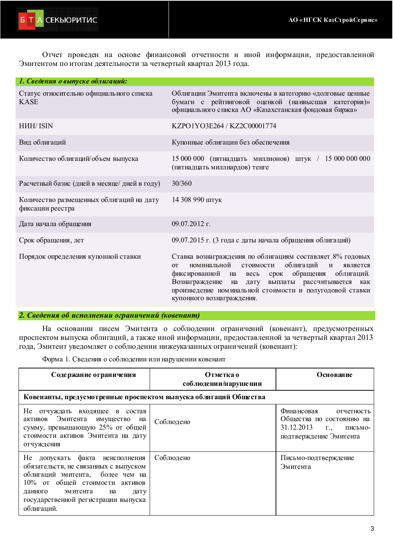

Отчет проведен на основе финансовой отчетности и иной информации, предоставленной Эмитентом по итогам деятельности за четвертый квартал 2013 года.

| 1. Сведения о выпуске облигаций:                             |                                                                                                                                                                                                                                                                                                                                                   |
|--------------------------------------------------------------|---------------------------------------------------------------------------------------------------------------------------------------------------------------------------------------------------------------------------------------------------------------------------------------------------------------------------------------------------|
| Статус относительно официального списка<br><b>KASE</b>       | Облигации Эмитента включены в категорию «долговые ценные<br>бумаги с рейтинговой оценкой (наивысшая категория)»<br>официального списка АО «Казахстанская фондовая биржа»                                                                                                                                                                          |
| <b>HIHH ISIN</b>                                             | KZPO1YO3E264 / KZ2C00001774                                                                                                                                                                                                                                                                                                                       |
| Вид облигаций                                                | Купонные облигации без обеспечения                                                                                                                                                                                                                                                                                                                |
| Количество облигаций/объем выпуска                           | 15 000 000 (пятнадцать миллионов) штук / 15 000 000 000<br>(пятнадцать миллиардов) тенге                                                                                                                                                                                                                                                          |
| Расчетный базис (дней в месяце/дней в году)                  | 30/360                                                                                                                                                                                                                                                                                                                                            |
| Количество размещенных облигаций на дату<br>фиксации реестра | 14 308 990 штук                                                                                                                                                                                                                                                                                                                                   |
| Дата начала обращения                                        | 09.07.2012 г.                                                                                                                                                                                                                                                                                                                                     |
| Срок обращения, лет                                          | 09.07.2015 г. (3 года с даты начала обращения облигаций)                                                                                                                                                                                                                                                                                          |
| Порядок определения купонной ставки                          | Ставка вознаграждения по облигациям составляет 8% годовых<br>облигаций<br>номинальной<br>стоимости<br>$\mathbf{M}$<br>является<br><b>OT</b><br>весь срок обращения облигаций.<br>фиксированной на<br>Вознаграждение на<br>дату выплаты рассчитывается как<br>произведение номинальной стоимости и полугодовой ставки<br>купонного вознаграждения. |

# 2. Сведения об исполнении ограничений (ковенант)

На основании писем Эмитента о соблюдении ограничений (ковенант), предусмотренных проспектом выпуска облигаций, а также иной информации, предоставленной за четвертый квартал 2013 года, Эмитент уведомляет о соблюдении нижеуказанных ограничений (ковенант):

Форма 1. Сведения о соблюдении или нарушении ковенант

| Содержание ограничения                                                                                                                                                                                                                   | Отметка о<br>соблюдении/нарушении | Основание                                                                                                                   |  |
|------------------------------------------------------------------------------------------------------------------------------------------------------------------------------------------------------------------------------------------|-----------------------------------|-----------------------------------------------------------------------------------------------------------------------------|--|
| Ковенанты, предусмотренные проспектом выпуска облигаций Общества                                                                                                                                                                         |                                   |                                                                                                                             |  |
| Не отчуждать входящее в состав<br>Эмитента<br>активов<br>имущество<br>на<br>сумму, превышающую 25% от общей<br>стоимости активов Эмитента на дату<br>отчуждения                                                                          | Соблюдено                         | Финансовая<br>отчетность<br>Общества по состоянию на<br>31.12.2013<br>$\Gamma_{\cdot}$<br>письмо-<br>подтверждение Эмитента |  |
| Не допускать факта неисполнения<br>обязательств, не связанных с выпуском<br>облигаций эмитента, более чем на<br>10% от общей стоимости активов<br>эмитента<br>данного<br>на<br>дату<br>государственной регистрации выпуска<br>облигаций. | Соблюдено                         | Письмо-подтверждение<br>Эмитента                                                                                            |  |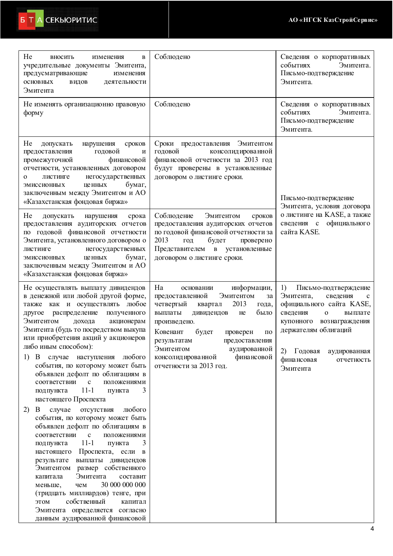

| He<br>вносить<br>изменения<br>В<br>учредительные документы Эмитента,<br>предусматривающие<br>изменения<br><b>ОСНОВНЫХ</b><br>деятельности<br>ВИДОВ<br>Эмитента                                                                                                                                                                                                                                                                                                                                                                                                                                                                                                                                                                                                                                                                                                                                                                                                                                                                                                         | Соблюдено                                                                                                                                                                                                                                                                                                                                     | Сведения о корпоративных<br>событиях<br>Эмитента.<br>Письмо-подтверждение<br>Эмитента.                                                                                                                                                                                 |
|------------------------------------------------------------------------------------------------------------------------------------------------------------------------------------------------------------------------------------------------------------------------------------------------------------------------------------------------------------------------------------------------------------------------------------------------------------------------------------------------------------------------------------------------------------------------------------------------------------------------------------------------------------------------------------------------------------------------------------------------------------------------------------------------------------------------------------------------------------------------------------------------------------------------------------------------------------------------------------------------------------------------------------------------------------------------|-----------------------------------------------------------------------------------------------------------------------------------------------------------------------------------------------------------------------------------------------------------------------------------------------------------------------------------------------|------------------------------------------------------------------------------------------------------------------------------------------------------------------------------------------------------------------------------------------------------------------------|
| Не изменять организационно правовую<br>форму                                                                                                                                                                                                                                                                                                                                                                                                                                                                                                                                                                                                                                                                                                                                                                                                                                                                                                                                                                                                                           | Соблюдено                                                                                                                                                                                                                                                                                                                                     | Сведения о корпоративных<br>событиях<br>Эмитента.<br>Письмо-подтверждение<br>Эмитента.                                                                                                                                                                                 |
| He<br>допускать<br>нарушения<br>сроков<br>предоставления<br>годовой<br>И<br>промежуточной<br>финансовой<br>отчетности, установленных договором<br>негосударственных<br>листинге<br>$\Omega$<br>бумаг,<br><b>Ц</b> е ННЫХ<br>ЭМИССИОННЫХ<br>заключенным между Эмитентом и АО<br>«Казахстанская фондовая биржа»                                                                                                                                                                                                                                                                                                                                                                                                                                                                                                                                                                                                                                                                                                                                                          | Эмитентом<br>Сроки предоставления<br>годовой<br>консолидированной<br>финансовой отчетности за 2013 год<br>будут проверены в установленные<br>договором о листинге сроки.                                                                                                                                                                      | Письмо-подтверждение<br>Эмитента, условия договора                                                                                                                                                                                                                     |
| He<br>нарушения<br>допускать<br>срока<br>предоставления аудиторских отчетов<br>по годовой финансовой отчетности<br>Эмитента, установленного договором о<br>негосударственных<br>листинге<br>бумаг,<br>ценных<br>эмиссионных<br>заключенным между Эмитентом и АО<br>«Казахстанская фондовая биржа»                                                                                                                                                                                                                                                                                                                                                                                                                                                                                                                                                                                                                                                                                                                                                                      | Соблюдение<br>Эмитентом<br>сроков<br>предоставления аудиторских отчетов<br>по годовой финансовой отчетности за<br>2013<br>будет<br>проверено<br>год<br>Представителем в установленные<br>договором о листинге сроки.                                                                                                                          | о листинге на KASE, а также<br>официального<br>сведения с<br>сайта KASE.                                                                                                                                                                                               |
| Не осуществлять выплату дивидендов<br>в денежной или любой другой форме,<br>также как и осуществлять любое<br>распределение<br>полученного<br>другое<br>Эмитентом<br>дохода<br>акционерам<br>Эмитента (будь то посредством выкупа<br>или приобретения акций у акционеров<br>либо иным способом):<br>наступления любого<br>1)<br>B.<br>случае<br>события, по которому может быть<br>объявлен дефолт по облигациям в<br>соответствии<br>$\mathbf c$<br>положениями<br>$11 - 1$<br>3<br>подпункта<br>пункта<br>настоящего Проспекта<br>B<br>любого<br>2)<br>случае<br>отсутствия<br>события, по которому может быть<br>объявлен дефолт по облигациям в<br>$\mathbf c$<br>соответствии<br>положениями<br>$11 - 1$<br>3<br>пункта<br>подпункта<br>Проспекта, если в<br>настоящего<br>результате<br>выплаты дивидендов<br>Эмитентом<br>размер собственного<br>Эмитента<br>составит<br>капитала<br>30 000 000 000<br>чем<br>меньше,<br>(тридцать миллиардов) тенге, при<br>собственный<br>этом<br>капитал<br>Эмитента определяется согласно<br>данным аудированной финансовой | Ha<br>информации,<br>основании<br>Эмитентом<br>предоставленной<br>за<br>2013<br>четвертый<br>квартал<br>года,<br>было<br>выплаты<br>дивидендов<br>He<br>произведено.<br>Ковенант<br>будет<br>проверен<br>$\Pi$ O<br>результатам<br>предоставления<br>Эмитентом<br>аудированной<br>финансовой<br>консолид ированной<br>отчетности за 2013 год. | 1)<br>Письмо-подтверждение<br>Эмитента,<br>сведения<br>$\mathbf{c}$<br>официального сайта KASE,<br>сведения<br>$\mathbf{o}$<br>выплате<br>купонного<br>вознаграждения<br>держателям облигаций<br>2)<br>Годовая<br>аудированная<br>финансовая<br>отчетность<br>Эмитента |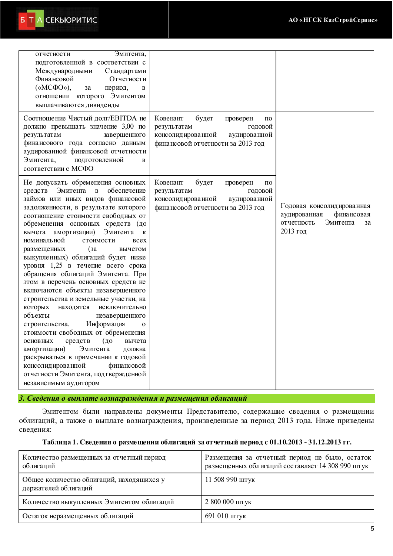| Эмитента,<br>отчетности<br>подготовленной в соответствии с<br>Международными<br>Стандартами<br>Финансовой<br>Отчетности<br>$(\langle \langle \mathcal{M} \mathcal{C} \Phi \mathcal{O} \rangle)$ ,<br>за<br>период,<br>$\bf{B}$<br>отношении которого Эмитентом<br>выплачиваются дивиденды                                                                                                                                                                                                                                                                                                                                                                                                                                                                                                                                                                                                                                                                                                            |                                                                                                                                         |                                                                                                     |
|------------------------------------------------------------------------------------------------------------------------------------------------------------------------------------------------------------------------------------------------------------------------------------------------------------------------------------------------------------------------------------------------------------------------------------------------------------------------------------------------------------------------------------------------------------------------------------------------------------------------------------------------------------------------------------------------------------------------------------------------------------------------------------------------------------------------------------------------------------------------------------------------------------------------------------------------------------------------------------------------------|-----------------------------------------------------------------------------------------------------------------------------------------|-----------------------------------------------------------------------------------------------------|
| Соотношение Чистый долг/ЕВІТDА не<br>должно превышать значение 3,00 по<br>завершенного<br>результатам<br>финансового года согласно данным<br>аудированной финансовой отчетности<br>Эмитента,<br>подготовленной<br>$\bf{B}$<br>соответствии с МСФО                                                                                                                                                                                                                                                                                                                                                                                                                                                                                                                                                                                                                                                                                                                                                    | Ковенант<br>будет<br>проверен<br>ПО<br>годовой<br>результатам<br>консолидированной<br>аудированной<br>финансовой отчетности за 2013 год |                                                                                                     |
| Не допускать обременения основных<br>Эмитента<br>обеспечение<br>средств<br>$\, {\bf B}$<br>займов или иных видов финансовой<br>задолженности, в результате которого<br>соотношение стоимости свободных от<br>обременения основных средств (до<br>амортизации)<br>Эмитента<br>вычета<br>К<br>номинальной<br>стоимости<br><b>BCCX</b><br>(3a)<br>размещенных<br>вычетом<br>выкупленных) облигаций будет ниже<br>уровня 1,25 в течение всего срока<br>обращения облигаций Эмитента. При<br>этом в перечень основных средств не<br>включаются объекты незавершенного<br>строительства и земельные участки, на<br>которых<br>исключительно<br>находятся<br>объекты<br>незавершенного<br>Информация<br>строительства.<br>$\mathbf 0$<br>стоимости свободных от обременения<br>(10)<br><b>ОСНОВНЫХ</b><br>средств<br>вычета<br>Эмитента<br>амортизации)<br>должна<br>раскрываться в примечании к годовой<br>консолидированной<br>финансовой<br>отчетности Эмитента, подтвержденной<br>независимым аудитором | Ковенант<br>будет<br>проверен<br>ПО<br>годовой<br>результатам<br>консолидированной<br>аудированной<br>финансовой отчетности за 2013 год | Годовая консолидированная<br>финансовая<br>аудированная<br>отчетность<br>Эмитента<br>за<br>2013 год |

3. Сведения о выплате вознаграждения и размещения облигаций

Эмитентом были направлены документы Представителю, содержащие сведения о размещении облигаций, а также о выплате вознаграждения, произведенные за период 2013 года. Ниже приведены сведения:

## Таблица 1. Сведения о размещении облигаций за отчетный период с 01.10.2013 - 31.12.2013 гг.

| Количество размещенных за отчетный период<br>облигаций            | Размещения за отчетный период не было, остаток<br>размещенных облигаций составляет 14 308 990 штук |
|-------------------------------------------------------------------|----------------------------------------------------------------------------------------------------|
| Общее количество облигаций, находящихся у<br>держателей облигаций | 11 508 990 штук                                                                                    |
| Количество выкупленных Эмитентом облигаций                        | 2 800 000 штук                                                                                     |
| Остаток неразмещенных облигаций                                   | 691 010 штук                                                                                       |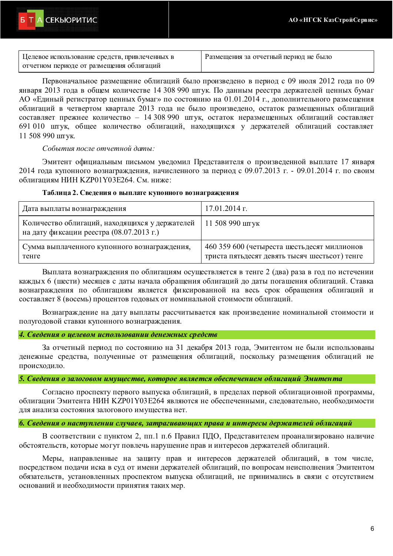| Целевое использование средств, привлеченных в | Размещения за отчетный период не было |
|-----------------------------------------------|---------------------------------------|
| отчетном периоде от размещения облигаций      |                                       |

Первоначальное размещение облигаций было произведено в период с 09 июля 2012 года по 09 января 2013 года в общем количестве 14 308 990 штук. По данным реестра держателей ценных бумаг АО «Елиный регистратор ценных бумаг» по состоянию на 01.01.2014 г., дополнительного размещения облигаций в четвертом квартале 2013 года не было произведено, остаток размещенных облигаций составляет прежнее количество - 14 308 990 штук, остаток неразмещенных облигаций составляет 691 010 штук, общее количество облигаций, находящихся у держателей облигаций составляет 11 508 990 LITYK.

## События после отчетной даты:

Эмитент официальным письмом уведомил Представителя о произведенной выплате 17 января 2014 года купонного вознаграждения, начисленного за период с 09.07.2013 г. - 09.01.2014 г. по своим облиганиям НИН К ZP01Y03E264. См. ниже:

## Таблица 2. Сведения о выплате купонного вознаграждения

| Дата выплаты вознаграждения                                                                | $17.01.2014$ F.                                                                               |
|--------------------------------------------------------------------------------------------|-----------------------------------------------------------------------------------------------|
| Количество облигаций, находящихся у держателей<br>на дату фиксации реестра (08.07.2013 г.) | 11 508 990 штук                                                                               |
| Сумма выплаченного купонного вознаграждения,<br>тенге                                      | 460 359 600 (четыреста шесть десят миллионов<br>триста пятьдесят девять тысяч шестьсот) тенге |

Выплата вознаграждения по облигациям осуществляется в тенге 2 (два) раза в год по истечении каждых 6 (шести) месяцев с даты начала обращения облигаций до даты погашения облигаций. Ставка вознаграждения по облигациям является фиксированной на весь срок обращения облигаций и составляет 8 (восемь) процентов годовых от номинальной стоимости облигаций.

Вознаграждение на дату выплаты рассчитывается как произведение номинальной стоимости и полугодовой ставки купонного вознаграждения.

## 4. Сведения о целевом использовании денежных средств

За отчетный период по состоянию на 31 декабря 2013 года, Эмитентом не были использованы денежные средства, полученные от размещения облигаций, поскольку размещения облигаций не происходило.

## 5. Сведения о залоговом имуществе, которое является обеспечением облигаций Эмитента

Согласно проспекту первого выпуска облигаций, в пределах первой облигационной программы, облигации Эмитента НИН KZP01Y03E264 являются не обеспеченными, следовательно, необходимости для анализа состояния залогового имущества нет.

## **b, Сведения о наступлении случаев, затрагивающих права и интересы держателей облигаций**

В соответствии с пунктом 2, пп.1 п.6 Правил ПДО, Представителем проанализировано наличие обстоятельств, которые могут повлечь нарушение прав и интересов держателей облигаций.

Меры, направленные на защиту прав и интересов держателей облигаций, в том числе, посредством подачи иска в суд от имени держателей облигаций, по вопросам неисполнения Эмитентом обязательств, установленных проспектом выпуска облигаций, не принимались в связи с отсутствием оснований и необходимости принятия таких мер.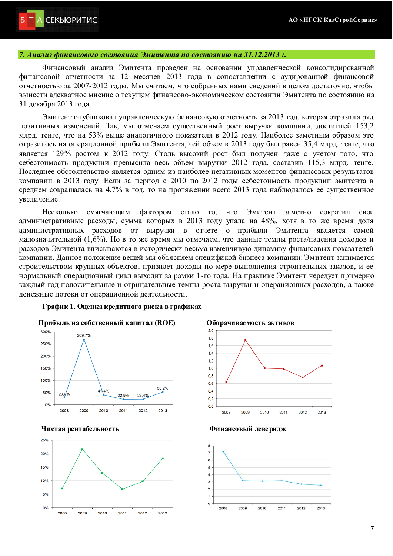## *Ⱥɧɚɥɢɡɮɢɧɚɧɫɨɜɨɝɨɫɨɫɬɨɹɧɢɹɗɦɢɬɟɧɬɚɩɨɫɨɫɬɨɹɧɢɸɧɚ31.12.2013 ɝ*

Финансовый анализ Эмитента проведен на основании управленческой консолидированной финансовой отчетности за 12 месяцев 2013 года в сопоставлении с аудированной финансовой отчетностью за 2007-2012 годы. Мы считаем, что собранных нами сведений в целом достаточно, чтобы вынести адекватное мнение о текущем финансово-экономическом состоянии Эмитента по состоянию на 31 декабря 2013 года.

Эмитент опубликовал управленческую финансовую отчетность за 2013 год, которая отразила ряд позитивных изменений. Так, мы отмечаем существенный рост выручки компании, достигшей 153,2 млрд, тенге, что на 53% выше аналогичного показателя в 2012 году. Наиболее заметным образом это отразилось на операционной прибыли Эмитента, чей объем в 2013 году был равен 35,4 млрд. тенге, что является 129% ростом к 2012 году. Столь высокий рост был получен даже с учетом того, что себестоимость продукции превысила весь объем выручки 2012 года, составив 115,3 млрд. тенге. Последнее обстоятельство является одним из наиболее негативных моментов финансовых результатов компании в 2013 году. Если за период с 2010 по 2012 годы себестоимость продукции эмитента в среднем сокращалась на 4,7% в год, то на протяжении всего 2013 года наблюдалось ее существенное vвеличение.

Несколько смягчающим фактором стало то, что Эмитент заметно сократил свои административные расходы, сумма которых в 2013 году упала на 48%, хотя в то же время доля административных расходов от выручки в отчете о прибыли Эмитента является самой малозначительной  $(1.6\%)$ . Но в то же время мы отмечаем, что данные темпы роста/падения доходов и расходов Эмитента вписываются в исторически весьма изменчивую динамику финансовых показателей компании. Данное положение вещей мы объясняем спецификой бизнеса компании: Эмитент занимается строительством крупных объектов, признает доходы по мере выполнения строительных заказов, и ее нормальный операционный цикл выходит за рамки 1-го года. На практике Эмитент чередует примерно каждый год положительные и отрицательные темпы роста выручки и операционных расходов, а также денежные потоки от операционной деятельности.

### График 1. Оценка кредитного риска в графиках







2010

2011

2013

2012

 $0%$ 

2008

2009







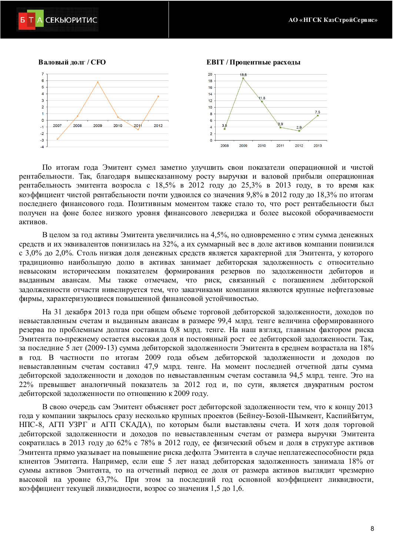

6

5

 $\overline{A}$ 

3

 $\overline{2}$ 

 $\overline{1}$ 

 $\circ$ 

 $-1$ 

 $-2$ 

 $-3$ 



По итогам года Эмитент сумел заметно улучшить свои показатели операционной и чистой рентабельности. Так, благодаря вышесказанному росту выручки и валовой прибыли операционная рентабельность эмитента возросла с 18,5% в 2012 году до 25,3% в 2013 году, в то время как коэффициент чистой рентабельности почти удвоился со значения 9.8% в 2012 году до 18.3% по итогам последнего финансового года. Позитивным моментом также стало то, что рост рентабельности был получен на фоне более низкого уровня финансового левериджа и более высокой оборачиваемости akturob.

В целом за год активы Эмитента увеличились на 4,5%, но одновременно с этим сумма денежных средств и их эквивалентов понизилась на 32%, а их суммарный вес в доле активов компании понизился с 3,0% до 2,0%. Столь низкая доля денежных средств является характерной для Эмитента, у которого традиционно наибольшую долю в активах занимает дебиторская задолженность с относительно невысоким историческим показателем формирования резервов по задолженности дебиторов и выданным авансам. Мы также отмечаем, что риск, связанный с погашением дебиторской задолженности отчасти нивелируется тем, что заказчиками компании являются крупные нефтегазовые фирмы, характеризующиеся повышенной финансовой устойчивостью.

На 31 декабря 2013 года при общем объеме торговой дебиторской задолженности, доходов по невыставленным счетам и выданным авансам в размере 99,4 млрд. тенге величина сформированного резерва по проблемным долгам составила 0,8 млрд. тенге. На наш взгляд, главным фактором риска Эмитента по-прежнему остается высокая доля и постоянный рост ее дебиторской задолженности. Так, за последние 5 лет (2009-13) сумма дебиторской задолженности Эмитента в среднем возрастала на 18% в год. В частности по итогам 2009 года объем дебиторской задолженности и доходов по невыставленным счетам составил 47,9 млрд, тенге. На момент последней отчетной даты сумма дебиторской задолженности и доходов по невыставленным счетам составила 94,5 млрд. тенге. Это на 22% превышает аналогичный показатель за 2012 год и, по сути, является двукратным ростом дебиторской задолженности по отношению к 2009 году.

В свою очередь сам Эмитент объясняет рост дебиторской задолженности тем, что к концу 2013 года у компании закрылось сразу несколько крупных проектов (Бейнеу-Бозой-Шымкент, КаспийБитум, НПС-8, АГП УЗРГ и АГП СКАДА), по которым были выставлены счета. И хотя доля торговой дебиторской задолженности и доходов по невыставленным счетам от размера выручки Эмитента сократилась в 2013 году до 62% с 78% в 2012 году, ее физический объем и доля в структуре активов Эмитента прямо указывает на повышение риска дефолта Эмитента в случае неплатежеспособности ряда клиентов Эмитента. Например, если еще 5 лет назад дебиторская задолженность занимала 18% от суммы активов Эмитента, то на отчетный период ее доля от размера активов выглядит чрезмерно высокой на уровне 63,7%. При этом за последний год основной коэффициент ликвидности, коэффициент текущей ликвидности, возрос со значения 1.5 до 1,6.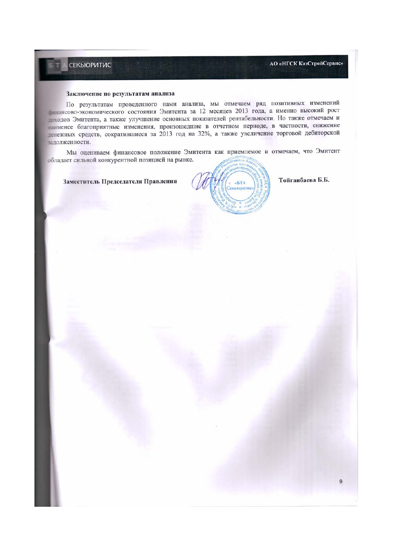# **СЕКЬЮРИТИС**

#### Заключение по результатам анализа

По результатам проведенного нами анализа, мы отмечаем ряд позитивных изменений<br>ежансово-экономического состояния Эмитента за 12 месяцев 2013 года, а именно высокий рост походов Эмитента, а также улучшение основных показателей рентабельности. Но также отмечаем и наименее благоприятные изменения, произошедшие в отчетном периоде, в частности, снижение денежных средств, сократившиеся за 2013 год на 32%, а также увеличение торговой дебиторской задолженности.

Мы оцениваем финансовое положение Эмитента как приемлемое и отмечаем, что Эмитент обладает сильной конкурентной позицией на рынке.

#### Заместитель Председателя Правления



Тойганбаева Б.Б.